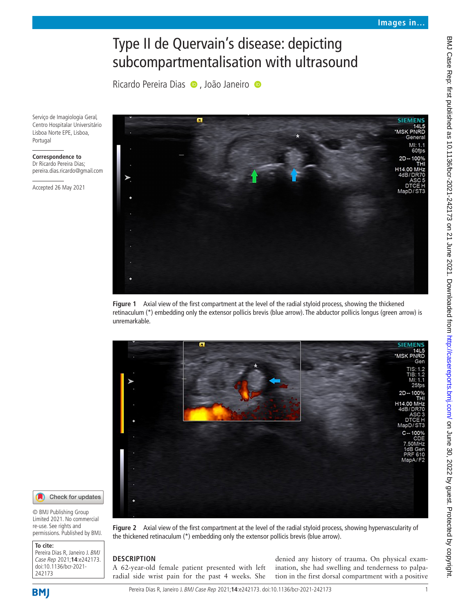# Type II de Quervain's disease: depicting subcompartmentalisation with ultrasound

RicardoPereira Dias · , João Janeiro ·

Serviço de Imagiologia Geral, Centro Hospitalar Universitário Lisboa Norte EPE, Lisboa, Portugal

#### **Correspondence to** Dr Ricardo Pereira Dias; pereira.dias.ricardo@gmail.com

Accepted 26 May 2021



<span id="page-0-0"></span>**Figure 1** Axial view of the first compartment at the level of the radial styloid process, showing the thickened retinaculum (\*) embedding only the extensor pollicis brevis (blue arrow). The abductor pollicis longus (green arrow) is unremarkable.



Check for updates O

© BMJ Publishing Group Limited 2021. No commercial re-use. See rights and permissions. Published by BMJ.

| To cite:                                                                             |
|--------------------------------------------------------------------------------------|
| Pereira Dias R, Janeiro J. BMJ<br>Case Rep 2021;14:e242173.<br>doi:10.1136/bcr-2021- |
|                                                                                      |
|                                                                                      |
| 242173                                                                               |

<span id="page-0-1"></span>**Figure 2** Axial view of the first compartment at the level of the radial styloid process, showing hypervascularity of the thickened retinaculum (\*) embedding only the extensor pollicis brevis (blue arrow).

# **DESCRIPTION**

A 62-year-old female patient presented with left radial side wrist pain for the past 4 weeks. She

denied any history of trauma. On physical examination, she had swelling and tenderness to palpation in the first dorsal compartment with a positive